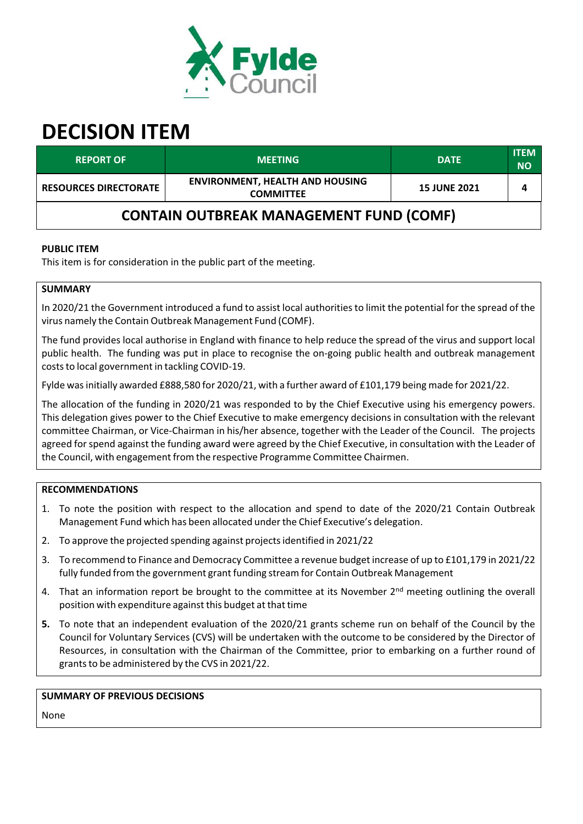

# **DECISION ITEM**

| <b>REPORT OF</b>                               | <b>MEETING</b>                                             | <b>DATE</b>         | <b>ITEM</b><br><b>NO</b> |
|------------------------------------------------|------------------------------------------------------------|---------------------|--------------------------|
| <b>RESOURCES DIRECTORATE</b>                   | <b>ENVIRONMENT, HEALTH AND HOUSING</b><br><b>COMMITTEE</b> | <b>15 JUNE 2021</b> | 4                        |
| <b>CONTAIN OUTBREAK MANAGEMENT FUND (COMF)</b> |                                                            |                     |                          |

## **PUBLIC ITEM**

This item is for consideration in the public part of the meeting.

#### **SUMMARY**

In 2020/21 the Government introduced a fund to assist local authoritiesto limit the potential for the spread of the virus namely the Contain Outbreak Management Fund (COMF).

The fund provides local authorise in England with finance to help reduce the spread of the virus and support local public health. The funding was put in place to recognise the on‐going public health and outbreak management costs to local government in tackling COVID-19.

Fylde wasinitially awarded £888,580 for 2020/21, with a further award of £101,179 being made for 2021/22.

The allocation of the funding in 2020/21 was responded to by the Chief Executive using his emergency powers. This delegation gives power to the Chief Executive to make emergency decisions in consultation with the relevant committee Chairman, or Vice‐Chairman in his/her absence, together with the Leader of the Council. The projects agreed for spend against the funding award were agreed by the Chief Executive, in consultation with the Leader of the Council, with engagement from the respective Programme Committee Chairmen.

## **RECOMMENDATIONS**

- 1. To note the position with respect to the allocation and spend to date of the 2020/21 Contain Outbreak Management Fund which has been allocated underthe Chief Executive's delegation.
- 2. To approve the projected spending against projectsidentified in 2021/22
- 3. To recommend to Finance and Democracy Committee a revenue budget increase of up to £101,179 in 2021/22 fully funded from the government grant funding stream for Contain Outbreak Management
- 4. That an information report be brought to the committee at its November 2<sup>nd</sup> meeting outlining the overall position with expenditure against this budget at that time
- **5.** To note that an independent evaluation of the 2020/21 grants scheme run on behalf of the Council by the Council for Voluntary Services (CVS) will be undertaken with the outcome to be considered by the Director of Resources, in consultation with the Chairman of the Committee, prior to embarking on a further round of grants to be administered by the CVS in 2021/22.

#### **SUMMARY OF PREVIOUS DECISIONS**

None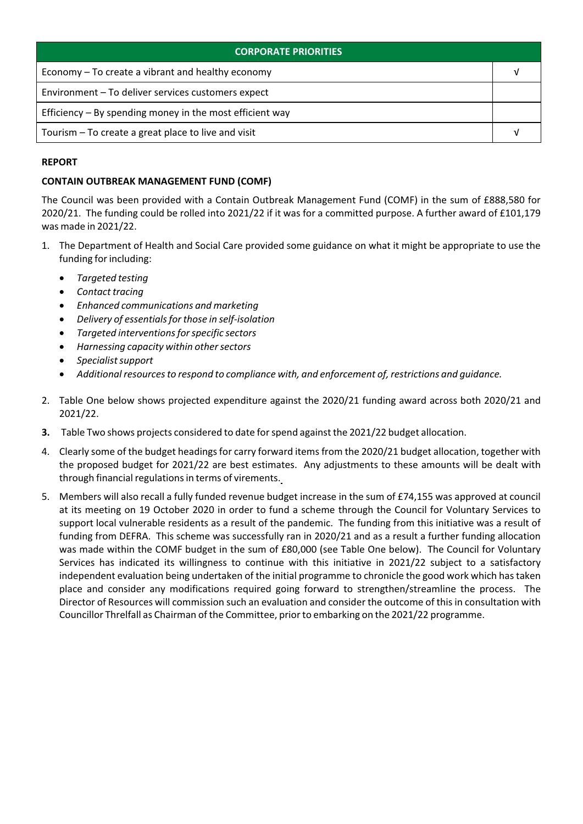| <b>CORPORATE PRIORITIES</b>                                |  |
|------------------------------------------------------------|--|
| Economy – To create a vibrant and healthy economy          |  |
| Environment - To deliver services customers expect         |  |
| Efficiency $-$ By spending money in the most efficient way |  |
| Tourism – To create a great place to live and visit        |  |

## **REPORT**

### **CONTAIN OUTBREAK MANAGEMENT FUND (COMF)**

The Council was been provided with a Contain Outbreak Management Fund (COMF) in the sum of £888,580 for 2020/21. The funding could be rolled into 2021/22 if it was for a committed purpose. A further award of £101,179 was made in 2021/22.

- 1. The Department of Health and Social Care provided some guidance on what it might be appropriate to use the funding for including:
	- *Targeted testing*
	- *Contact tracing*
	- *Enhanced communications and marketing*
	- *Delivery of essentialsfor those in self‐isolation*
	- *Targeted interventionsforspecific sectors*
	- *Harnessing capacity within othersectors*
	- *Specialistsupport*
	- *Additionalresourcesto respond to compliance with, and enforcement of, restrictions and guidance.*
- 2. Table One below shows projected expenditure against the 2020/21 funding award across both 2020/21 and 2021/22.
- **3.** Table Two shows projects considered to date forspend against the 2021/22 budget allocation.
- 4. Clearly some of the budget headings for carry forward items from the 2020/21 budget allocation, together with the proposed budget for 2021/22 are best estimates. Any adjustments to these amounts will be dealt with through financial regulations in terms of virements.
- 5. Members will also recall a fully funded revenue budget increase in the sum of £74,155 was approved at council at its meeting on 19 October 2020 in order to fund a scheme through the Council for Voluntary Services to support local vulnerable residents as a result of the pandemic. The funding from this initiative was a result of funding from DEFRA. This scheme was successfully ran in 2020/21 and as a result a further funding allocation was made within the COMF budget in the sum of £80,000 (see Table One below). The Council for Voluntary Services has indicated its willingness to continue with this initiative in 2021/22 subject to a satisfactory independent evaluation being undertaken of the initial programme to chronicle the good work which has taken place and consider any modifications required going forward to strengthen/streamline the process. The Director of Resources will commission such an evaluation and consider the outcome of thisin consultation with Councillor Threlfall as Chairman of the Committee, prior to embarking on the 2021/22 programme.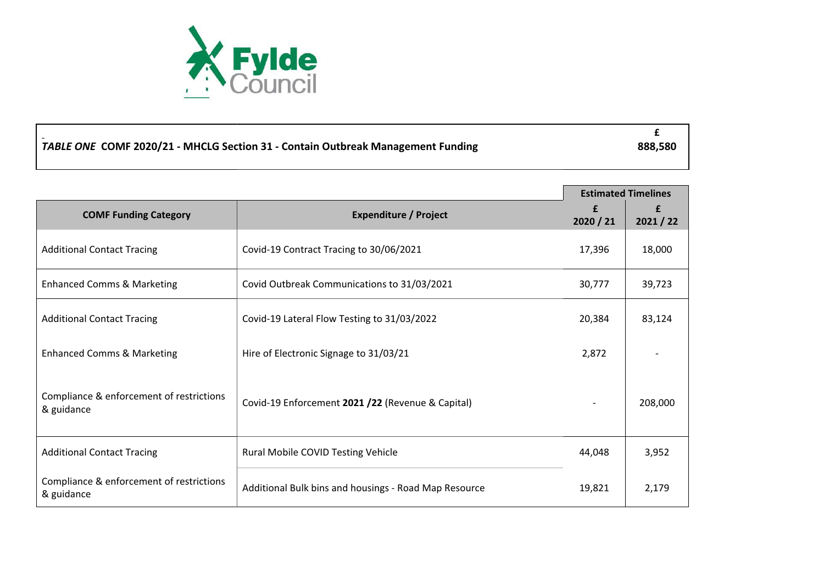

| TABLE ONE COMF 2020/21 - MHCLG Section 31 - Contain Outbreak Management Funding | 888,580 |
|---------------------------------------------------------------------------------|---------|

|                                                        |                                                       |           | <b>Estimated Timelines</b> |
|--------------------------------------------------------|-------------------------------------------------------|-----------|----------------------------|
| <b>COMF Funding Category</b>                           | <b>Expenditure / Project</b>                          | £         | £                          |
|                                                        |                                                       | 2020 / 21 | 2021 / 22                  |
| <b>Additional Contact Tracing</b>                      | Covid-19 Contract Tracing to 30/06/2021               | 17,396    | 18,000                     |
| <b>Enhanced Comms &amp; Marketing</b>                  | Covid Outbreak Communications to 31/03/2021           | 30,777    | 39,723                     |
| <b>Additional Contact Tracing</b>                      | Covid-19 Lateral Flow Testing to 31/03/2022           | 20,384    | 83,124                     |
| <b>Enhanced Comms &amp; Marketing</b>                  | Hire of Electronic Signage to 31/03/21                | 2,872     |                            |
| Compliance & enforcement of restrictions<br>& guidance | Covid-19 Enforcement 2021 /22 (Revenue & Capital)     |           | 208,000                    |
| <b>Additional Contact Tracing</b>                      | <b>Rural Mobile COVID Testing Vehicle</b>             | 44,048    | 3,952                      |
| Compliance & enforcement of restrictions<br>& guidance | Additional Bulk bins and housings - Road Map Resource | 19,821    | 2,179                      |

**£**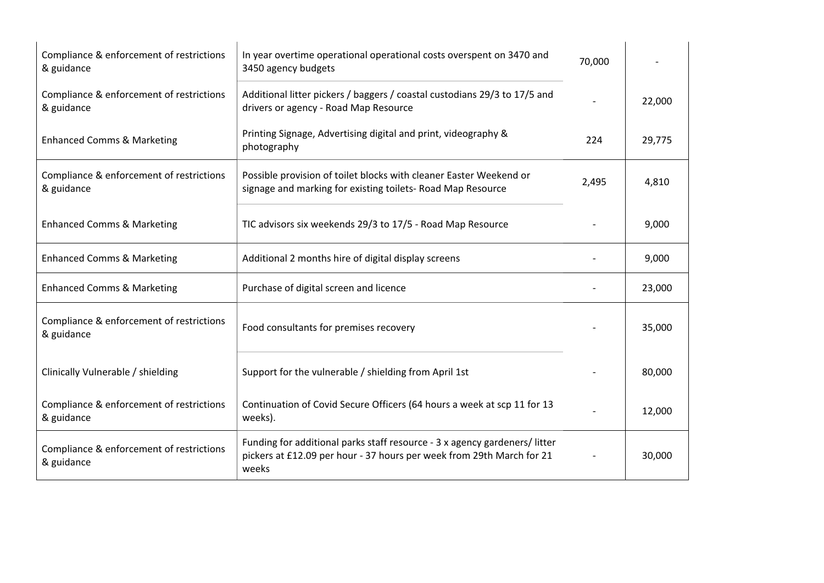| Compliance & enforcement of restrictions<br>& guidance | In year overtime operational operational costs overspent on 3470 and<br>3450 agency budgets                                                                 | 70,000 |        |
|--------------------------------------------------------|-------------------------------------------------------------------------------------------------------------------------------------------------------------|--------|--------|
| Compliance & enforcement of restrictions<br>& guidance | Additional litter pickers / baggers / coastal custodians 29/3 to 17/5 and<br>drivers or agency - Road Map Resource                                          |        | 22,000 |
| <b>Enhanced Comms &amp; Marketing</b>                  | Printing Signage, Advertising digital and print, videography &<br>photography                                                                               | 224    | 29,775 |
| Compliance & enforcement of restrictions<br>& guidance | Possible provision of toilet blocks with cleaner Easter Weekend or<br>signage and marking for existing toilets- Road Map Resource                           | 2,495  | 4,810  |
| <b>Enhanced Comms &amp; Marketing</b>                  | TIC advisors six weekends 29/3 to 17/5 - Road Map Resource                                                                                                  |        | 9,000  |
| <b>Enhanced Comms &amp; Marketing</b>                  | Additional 2 months hire of digital display screens                                                                                                         |        | 9,000  |
| <b>Enhanced Comms &amp; Marketing</b>                  | Purchase of digital screen and licence                                                                                                                      |        | 23,000 |
| Compliance & enforcement of restrictions<br>& guidance | Food consultants for premises recovery                                                                                                                      |        | 35,000 |
| Clinically Vulnerable / shielding                      | Support for the vulnerable / shielding from April 1st                                                                                                       |        | 80,000 |
| Compliance & enforcement of restrictions<br>& guidance | Continuation of Covid Secure Officers (64 hours a week at scp 11 for 13<br>weeks).                                                                          |        | 12,000 |
| Compliance & enforcement of restrictions<br>& guidance | Funding for additional parks staff resource - 3 x agency gardeners/litter<br>pickers at £12.09 per hour - 37 hours per week from 29th March for 21<br>weeks |        | 30,000 |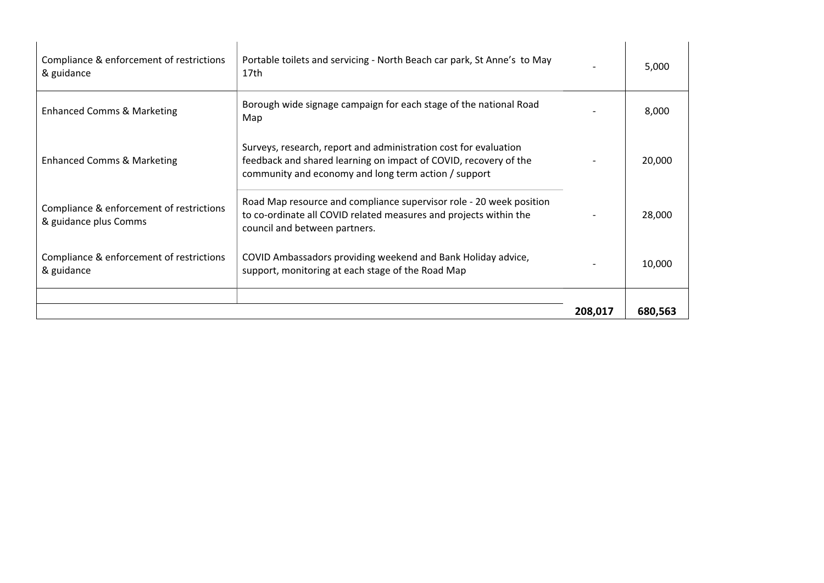|                                                                   |                                                                                                                                                                                              | 208,017 | 680,563 |
|-------------------------------------------------------------------|----------------------------------------------------------------------------------------------------------------------------------------------------------------------------------------------|---------|---------|
|                                                                   |                                                                                                                                                                                              |         |         |
| Compliance & enforcement of restrictions<br>& guidance            | COVID Ambassadors providing weekend and Bank Holiday advice,<br>support, monitoring at each stage of the Road Map                                                                            |         | 10,000  |
| Compliance & enforcement of restrictions<br>& guidance plus Comms | Road Map resource and compliance supervisor role - 20 week position<br>to co-ordinate all COVID related measures and projects within the<br>council and between partners.                    |         | 28,000  |
| <b>Enhanced Comms &amp; Marketing</b>                             | Surveys, research, report and administration cost for evaluation<br>feedback and shared learning on impact of COVID, recovery of the<br>community and economy and long term action / support |         | 20,000  |
| <b>Enhanced Comms &amp; Marketing</b>                             | Borough wide signage campaign for each stage of the national Road<br>Map                                                                                                                     |         | 8,000   |
| Compliance & enforcement of restrictions<br>& guidance            | Portable toilets and servicing - North Beach car park, St Anne's to May<br>17th                                                                                                              |         | 5,000   |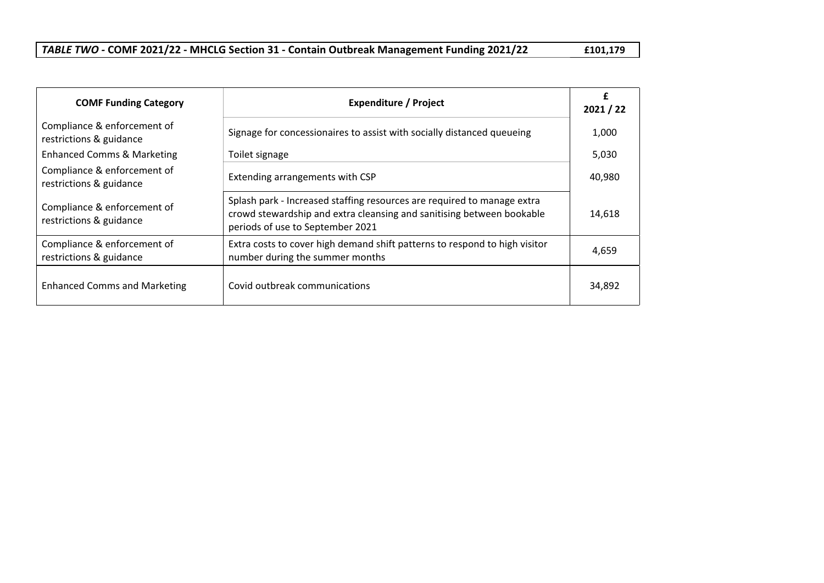| TABLE TWO - COMF 2021/22 - MHCLG Section 31 - Contain Outbreak Management Funding 2021/22 | £101,179 |
|-------------------------------------------------------------------------------------------|----------|
|-------------------------------------------------------------------------------------------|----------|

| <b>COMF Funding Category</b>                           | <b>Expenditure / Project</b>                                                                                                                                                         | £<br>2021 / 22 |
|--------------------------------------------------------|--------------------------------------------------------------------------------------------------------------------------------------------------------------------------------------|----------------|
| Compliance & enforcement of<br>restrictions & guidance | Signage for concessionaires to assist with socially distanced queueing                                                                                                               | 1,000          |
| <b>Enhanced Comms &amp; Marketing</b>                  | Toilet signage                                                                                                                                                                       | 5,030          |
| Compliance & enforcement of<br>restrictions & guidance | Extending arrangements with CSP                                                                                                                                                      | 40,980         |
| Compliance & enforcement of<br>restrictions & guidance | Splash park - Increased staffing resources are required to manage extra<br>crowd stewardship and extra cleansing and sanitising between bookable<br>periods of use to September 2021 | 14,618         |
| Compliance & enforcement of<br>restrictions & guidance | Extra costs to cover high demand shift patterns to respond to high visitor<br>number during the summer months                                                                        | 4,659          |
| <b>Enhanced Comms and Marketing</b>                    | Covid outbreak communications                                                                                                                                                        | 34,892         |